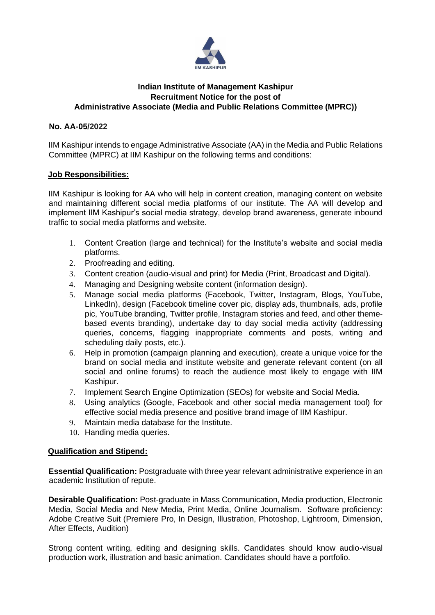

## **Indian Institute of Management Kashipur Recruitment Notice for the post of Administrative Associate (Media and Public Relations Committee (MPRC))**

## **No. AA-05/2022**

IIM Kashipur intends to engage Administrative Associate (AA) in the Media and Public Relations Committee (MPRC) at IIM Kashipur on the following terms and conditions:

## **Job Responsibilities:**

IIM Kashipur is looking for AA who will help in content creation, managing content on website and maintaining different social media platforms of our institute. The AA will develop and implement IIM Kashipur's social media strategy, develop brand awareness, generate inbound traffic to social media platforms and website.

- 1. Content Creation (large and technical) for the Institute's website and social media platforms.
- 2. Proofreading and editing.
- 3. Content creation (audio-visual and print) for Media (Print, Broadcast and Digital).
- 4. Managing and Designing website content (information design).
- 5. Manage social media platforms (Facebook, Twitter, Instagram, Blogs, YouTube, LinkedIn), design (Facebook timeline cover pic, display ads, thumbnails, ads, profile pic, YouTube branding, Twitter profile, Instagram stories and feed, and other themebased events branding), undertake day to day social media activity (addressing queries, concerns, flagging inappropriate comments and posts, writing and scheduling daily posts, etc.).
- 6. Help in promotion (campaign planning and execution), create a unique voice for the brand on social media and institute website and generate relevant content (on all social and online forums) to reach the audience most likely to engage with IIM Kashipur.
- 7. Implement Search Engine Optimization (SEOs) for website and Social Media.
- 8. Using analytics (Google, Facebook and other social media management tool) for effective social media presence and positive brand image of IIM Kashipur.
- 9. Maintain media database for the Institute.
- 10. Handing media queries.

## **Qualification and Stipend:**

**Essential Qualification:** Postgraduate with three year relevant administrative experience in an academic Institution of repute.

**Desirable Qualification:** Post-graduate in Mass Communication, Media production, Electronic Media, Social Media and New Media, Print Media, Online Journalism. Software proficiency: Adobe Creative Suit (Premiere Pro, In Design, Illustration, Photoshop, Lightroom, Dimension, After Effects, Audition)

Strong content writing, editing and designing skills. Candidates should know audio-visual production work, illustration and basic animation. Candidates should have a portfolio.